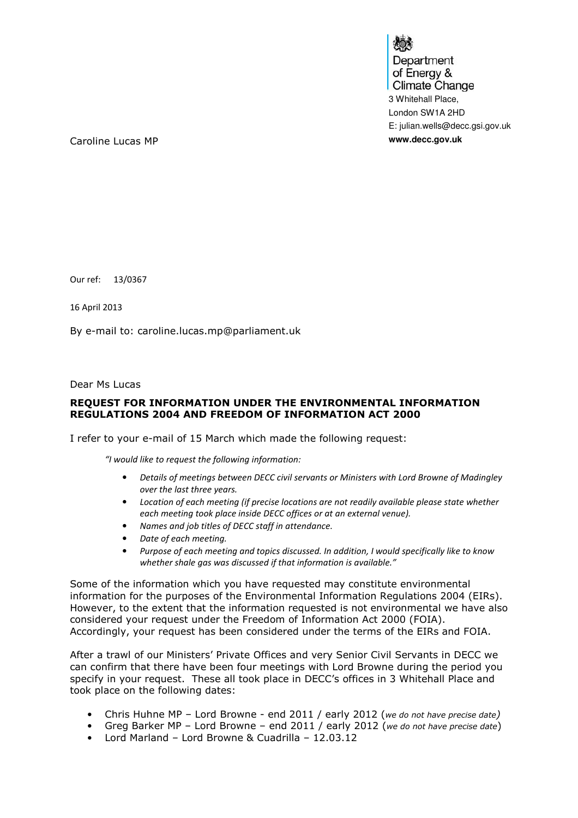Department of Energy & **Climate Change** 3 Whitehall Place, London SW1A 2HD E: julian.wells@decc.gsi.gov.uk

Caroline Lucas MP **www.decc.gov.uk**

Our ref: 13/0367

16 April 2013

By e-mail to: caroline.lucas.mp@parliament.uk

Dear Ms Lucas

## REQUEST FOR INFORMATION UNDER THE ENVIRONMENTAL INFORMATION REGULATIONS 2004 AND FREEDOM OF INFORMATION ACT 2000

I refer to your e-mail of 15 March which made the following request:

"I would like to request the following information:

- Details of meetings between DECC civil servants or Ministers with Lord Browne of Madingley over the last three years.
- Location of each meeting (if precise locations are not readily available please state whether each meeting took place inside DECC offices or at an external venue).
- Names and job titles of DECC staff in attendance.
- Date of each meeting.
- Purpose of each meeting and topics discussed. In addition, I would specifically like to know whether shale gas was discussed if that information is available."

Some of the information which you have requested may constitute environmental information for the purposes of the Environmental Information Regulations 2004 (EIRs). However, to the extent that the information requested is not environmental we have also considered your request under the Freedom of Information Act 2000 (FOIA). Accordingly, your request has been considered under the terms of the EIRs and FOIA.

After a trawl of our Ministers' Private Offices and very Senior Civil Servants in DECC we can confirm that there have been four meetings with Lord Browne during the period you specify in your request. These all took place in DECC's offices in 3 Whitehall Place and took place on the following dates:

- Chris Huhne MP Lord Browne end 2011 / early 2012 (we do not have precise date)
- Greg Barker MP Lord Browne end 2011 / early 2012 (we do not have precise date)
- Lord Marland Lord Browne & Cuadrilla 12.03.12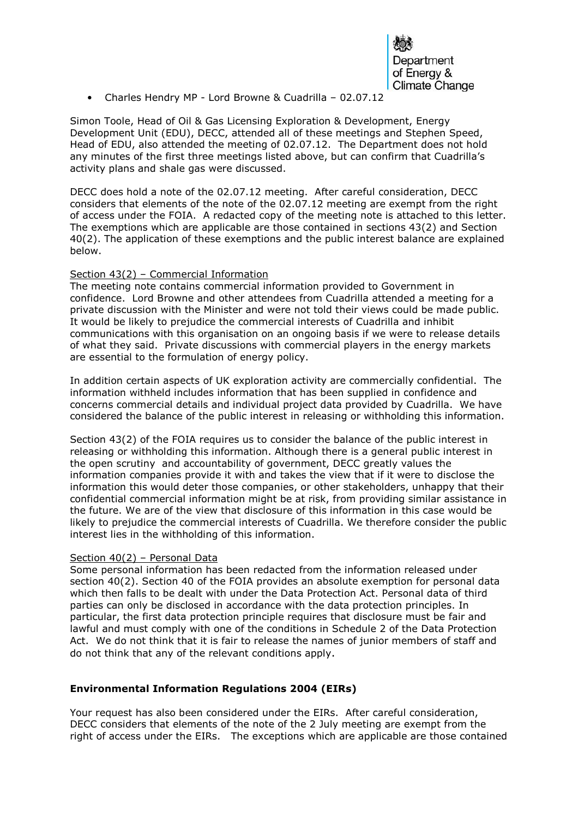

• Charles Hendry MP - Lord Browne & Cuadrilla – 02.07.12

Simon Toole, Head of Oil & Gas Licensing Exploration & Development, Energy Development Unit (EDU), DECC, attended all of these meetings and Stephen Speed, Head of EDU, also attended the meeting of 02.07.12. The Department does not hold any minutes of the first three meetings listed above, but can confirm that Cuadrilla's activity plans and shale gas were discussed.

DECC does hold a note of the 02.07.12 meeting. After careful consideration, DECC considers that elements of the note of the 02.07.12 meeting are exempt from the right of access under the FOIA. A redacted copy of the meeting note is attached to this letter. The exemptions which are applicable are those contained in sections 43(2) and Section 40(2). The application of these exemptions and the public interest balance are explained below.

## Section 43(2) – Commercial Information

The meeting note contains commercial information provided to Government in confidence. Lord Browne and other attendees from Cuadrilla attended a meeting for a private discussion with the Minister and were not told their views could be made public. It would be likely to prejudice the commercial interests of Cuadrilla and inhibit communications with this organisation on an ongoing basis if we were to release details of what they said. Private discussions with commercial players in the energy markets are essential to the formulation of energy policy.

In addition certain aspects of UK exploration activity are commercially confidential. The information withheld includes information that has been supplied in confidence and concerns commercial details and individual project data provided by Cuadrilla. We have considered the balance of the public interest in releasing or withholding this information.

Section 43(2) of the FOIA requires us to consider the balance of the public interest in releasing or withholding this information. Although there is a general public interest in the open scrutiny and accountability of government, DECC greatly values the information companies provide it with and takes the view that if it were to disclose the information this would deter those companies, or other stakeholders, unhappy that their confidential commercial information might be at risk, from providing similar assistance in the future. We are of the view that disclosure of this information in this case would be likely to prejudice the commercial interests of Cuadrilla. We therefore consider the public interest lies in the withholding of this information.

## Section 40(2) – Personal Data

Some personal information has been redacted from the information released under section 40(2). Section 40 of the FOIA provides an absolute exemption for personal data which then falls to be dealt with under the Data Protection Act. Personal data of third parties can only be disclosed in accordance with the data protection principles. In particular, the first data protection principle requires that disclosure must be fair and lawful and must comply with one of the conditions in Schedule 2 of the Data Protection Act. We do not think that it is fair to release the names of junior members of staff and do not think that any of the relevant conditions apply.

# Environmental Information Regulations 2004 (EIRs)

Your request has also been considered under the EIRs. After careful consideration, DECC considers that elements of the note of the 2 July meeting are exempt from the right of access under the EIRs. The exceptions which are applicable are those contained